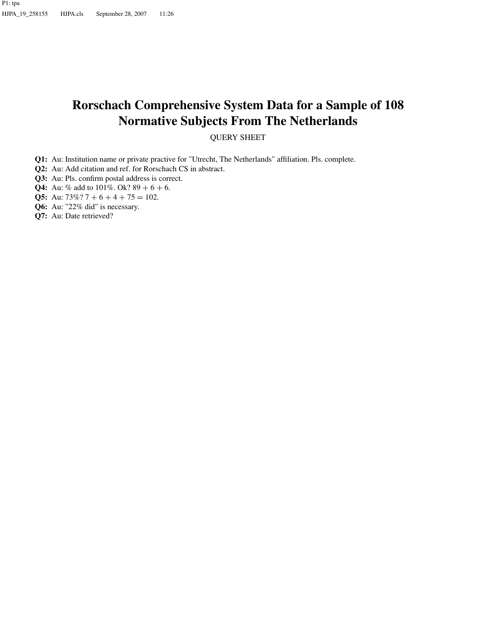# **Rorschach Comprehensive System Data for a Sample of 108 Normative Subjects From The Netherlands**

QUERY SHEET

- **Q1:** Au: Institution name or private practive for "Utrecht, The Netherlands" affiliation. Pls. complete.
- **Q2:** Au: Add citation and ref. for Rorschach CS in abstract.
- **Q3:** Au: Pls. confirm postal address is correct.
- **Q4:** Au: % add to  $101\%$ . Ok?  $89 + 6 + 6$ .
- **Q5:** Au:  $73\%$ ?  $7 + 6 + 4 + 75 = 102$ .
- **Q6:** Au: "22% did" is necessary.
- **Q7:** Au: Date retrieved?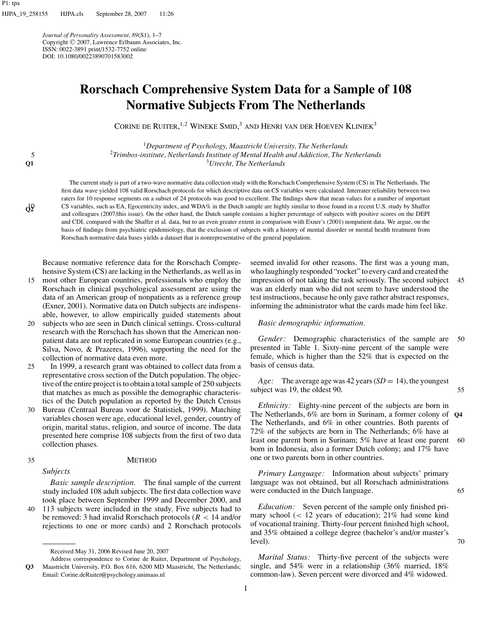*Journal of Personality Assessment*, *89*(S1), 1–7 Copyright <sup>C</sup> 2007, Lawrence Erlbaum Associates, Inc. ISSN: 0022-3891 print/1532-7752 online DOI: 10.1080/00223890701583002

# **Rorschach Comprehensive System Data for a Sample of 108 Normative Subjects From The Netherlands**

CORINE DE RUITER,<sup>1,2</sup> WINEKE SMID,<sup>3</sup> and Henri van der Hoeven Kliniek<sup>3</sup>

<sup>1</sup>*Department of Psychology, Maastricht University, The Netherlands* <sup>2</sup> 5 *Trimbos-institute, Netherlands Institute of Mental Health and Addiction, The Netherlands* <sup>3</sup>*Utrecht, The Netherlands*

The current study is part of a two-wave normative data collection study with the Rorschach Comprehensive System (CS) in The Netherlands. The first data wave yielded 108 valid Rorschach protocols for which descriptive data on CS variables were calculated. Interrater reliability between two raters for 10 response segments on a subset of 24 protocols was good to excellent. The findings show that mean values for a number of important CS variables, such as EA, Egocentricity index, and WDA% in the Dutch sample are highly similar to those found in a recent U.S. study by Shaffer and colleagues (2007/this issue). On the other hand, the Dutch sample contains a higher percentage of subjects with positive scores on the DEPI and CDI, compared with the Shaffer et al. data, but to an even greater extent in comparison with Exner's (2001) nonpatient data. We argue, on the basis of findings from psychiatric epidemiology, that the exclusion of subjects with a history of mental disorder or mental health treatment from Rorschach normative data bases yields a dataset that is nonrepresentative of the general population.

Because normative reference data for the Rorschach Comprehensive System (CS) are lacking in the Netherlands, as well as in

- most other European countries, professionals who employ the 15 Rorschach in clinical psychological assessment are using the data of an American group of nonpatients as a reference group (Exner, 2001). Normative data on Dutch subjects are indispensable, however, to allow empirically guided statements about
- 20 subjects who are seen in Dutch clinical settings. Cross-cultural research with the Rorschach has shown that the American nonpatient data are not replicated in some European countries (e.g., Silva, Novo, & Prazeres, 1996), supporting the need for the collection of normative data even more.
- 25 In 1999, a research grant was obtained to collect data from a representative cross section of the Dutch population. The objective of the entire project is to obtain a total sample of 250 subjects that matches as much as possible the demographic characteristics of the Dutch population as reported by the Dutch Census
- 30 Bureau (Centraal Bureau voor de Statistiek, 1999). Matching variables chosen were age, educational level, gender, country of origin, marital status, religion, and source of income. The data presented here comprise 108 subjects from the first of two data collection phases.

10 **Q2**

**Q1**

### 35 METHOD

*Subjects*

*Basic sample description.* The final sample of the current study included 108 adult subjects. The first data collection wave took place between September 1999 and December 2000, and

40 113 subjects were included in the study. Five subjects had to be removed: 3 had invalid Rorschach protocols (*R <* 14 and/or rejections to one or more cards) and 2 Rorschach protocols seemed invalid for other reasons. The first was a young man, who laughingly responded "rocket" to every card and created the impression of not taking the task seriously. The second subject 45 was an elderly man who did not seem to have understood the test instructions, because he only gave rather abstract responses, informing the administrator what the cards made him feel like.

#### *Basic demographic information.*

*Gender:* Demographic characteristics of the sample are 50 presented in Table 1. Sixty-nine percent of the sample were female, which is higher than the 52% that is expected on the basis of census data.

*Age:* The average age was 42 years (*SD* = 14), the youngest subject was 19, the oldest 90. 55

*Ethnicity:* Eighty-nine percent of the subjects are born in The Netherlands, 6% are born in Surinam, a former colony of **Q4** The Netherlands, and 6% in other countries. Both parents of 72% of the subjects are born in The Netherlands; 6% have at least one parent born in Surinam; 5% have at least one parent 60 born in Indonesia, also a former Dutch colony; and 17% have one or two parents born in other countries.

*Primary Language:* Information about subjects' primary language was not obtained, but all Rorschach administrations were conducted in the Dutch language. 65

*Education:* Seven percent of the sample only finished primary school (*<* 12 years of education); 21% had some kind of vocational training. Thirty-four percent finished high school, and 35% obtained a college degree (bachelor's and/or master's  $level$ ).  $70$ 

*Marital Status:* Thirty-five percent of the subjects were single, and 54% were in a relationship (36% married, 18% common-law). Seven percent were divorced and 4% widowed.

Received May 31, 2006 Revised June 20, 2007

**Q3** Address correspondence to Corine de Ruiter, Department of Psychology, Maastricht University, P.O. Box 616, 6200 MD Maastricht, The Netherlands; Email: Corine.deRuiter@psychology.unimaas.nl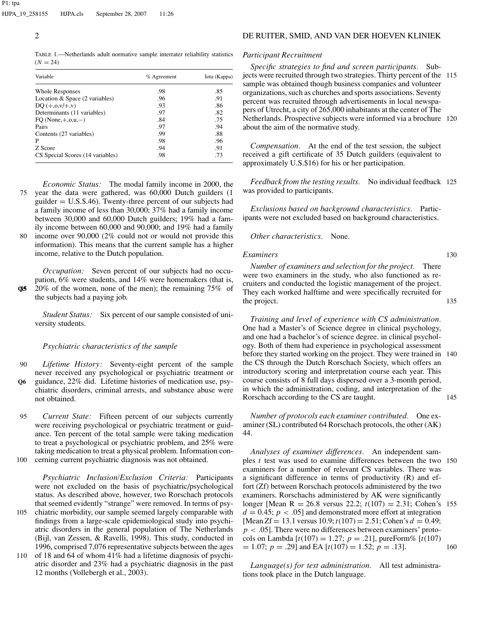TABLE 1.—Netherlands adult normative sample interrater reliability statistics  $(N = 24)$ 

| Variable                         | $%$ Agreement | Iota (Kappa) |
|----------------------------------|---------------|--------------|
| <b>Whole Responses</b>           | .98           | .85          |
| Location & Space (2 variables)   | .96           | .91          |
| $DQ (+, 0, v/+, v)$              | .93           | .86          |
| Determinants (11 variables)      | .97           | .82          |
| FO (None, $+, o, u, -)$ )        | .84           | .75          |
| Pairs                            | .97           | .94          |
| Contents (27 variables)          | .99           | .88          |
| P                                | .98           | .96          |
| Z Score                          | .94           | .91          |
| CS Special Scores (14 variables) | .98           | .73          |

*Economic Status:* The modal family income in 2000, the 75 year the data were gathered, was 60,000 Dutch guilders (1 guilder  $= U.S.S.A6$ ). Twenty-three percent of our subjects had a family income of less than 30,000; 37% had a family income between 30,000 and 60,000 Dutch guilders; 19% had a family income between 60,000 and 90,000; and 19% had a family income over  $90,000$  (2% could not or would not provide this information). This means that the current sample has a higher

*Occupation:* Seven percent of our subjects had no occupation, 6% were students, and 14% were homemakers (that is, **Q5**85 20% of the women, none of the men); the remaining 75% of

the subjects had a paying job. *Student Status:* Six percent of our sample consisted of uni-

## *Psychiatric characteristics of the sample*

income, relative to the Dutch population.

versity students.

- 90 *Lifetime History:* Seventy-eight percent of the sample never received any psychological or psychiatric treatment or **Q6** guidance, 22% did. Lifetime histories of medication use, psy-
- chiatric disorders, criminal arrests, and substance abuse were not obtained.
- 95 *Current State:* Fifteen percent of our subjects currently were receiving psychological or psychiatric treatment or guidance. Ten percent of the total sample were taking medication to treat a psychological or psychiatric problem, and 25% were taking medication to treat a physical problem. Information con-100 cerning current psychiatric diagnosis was not obtained.

*Psychiatric Inclusion/Exclusion Criteria:* Participants were not excluded on the basis of psychiatric/psychological status. As described above, however, two Rorschach protocols that seemed evidently "strange" were removed. In terms of psy-105 chiatric morbidity, our sample seemed largely comparable with findings from a large-scale epidemiological study into psychi-

- atric disorders in the general population of The Netherlands (Bijl, van Zessen, & Ravelli, 1998). This study, conducted in 1996, comprised 7,076 representative subjects between the ages 110 of 18 and 64 of whom 41% had a lifetime diagnosis of psychi-
- atric disorder and 23% had a psychiatric diagnosis in the past 12 months (Vollebergh et al., 2003).

# 2 DE RUITER, SMID, AND VAN DER HOEVEN KLINIEK

### *Participant Recruitment*

*Specific strategies to find and screen participants.* Subjects were recruited through two strategies. Thirty percent of the 115 sample was obtained though business companies and volunteer organizations, such as churches and sports associations. Seventy percent was recruited through advertisements in local newspapers of Utrecht, a city of 265,000 inhabitants at the center of The Netherlands. Prospective subjects were informed via a brochure 120 about the aim of the normative study.

*Compensation.* At the end of the test session, the subject received a gift certificate of 35 Dutch guilders (equivalent to approximately U.S.\$16) for his or her participation.

*Feedback from the testing results.* No individual feedback 125 was provided to participants.

*Exclusions based on background characteristics.* Participants were not excluded based on background characteristics.

#### *Other characteristics.* None.

#### *Examiners* 130

*Number of examiners and selection for the project.* There were two examiners in the study, who also functioned as recruiters and conducted the logistic management of the project. They each worked halftime and were specifically recruited for the project. 135

*Training and level of experience with CS administration.* One had a Master's of Science degree in clinical psychology, and one had a bachelor's of science degree. in clinical psychology. Both of them had experience in psychological assessment before they started working on the project. They were trained in 140 the CS through the Dutch Rorschach Society, which offers an introductory scoring and interpretation course each year. This course consists of 8 full days dispersed over a 3-month period, in which the administration, coding, and interpretation of the Rorschach according to the CS are taught. 145

*Number of protocols each examiner contributed.* One examiner (SL) contributed 64 Rorschach protocols, the other (AK) 44.

*Analyses of examiner differences.* An independent samples *t* test was used to examine differences between the two 150 examiners for a number of relevant CS variables. There was a significant difference in terms of productivity (R) and effort (Zf) between Rorschach protocols administered by the two examiners. Rorschachs administered by AK were significantly longer [Mean R = 26*.*8 versus 22.2; *t*(107) = 2*.*31; Cohen's <sup>155</sup>  $d = 0.45$ ;  $p < .05$ ] and demonstrated more effort at integration [Mean Zf = 13.1 versus 10.9;  $t(107) = 2.51$ ; Cohen's  $d = 0.49$ ;  $p < .05$ ]. There were no differences between examiners' protocols on Lambda  $[t(107) = 1.27; p = .21]$ , pureForm%  $[t(107)$  $= 1.07$ ;  $p = .29$ ] and EA [ $t(107) = 1.52$ ;  $p = .13$ ]. 160

*Language(s) for test administration.* All test administrations took place in the Dutch language.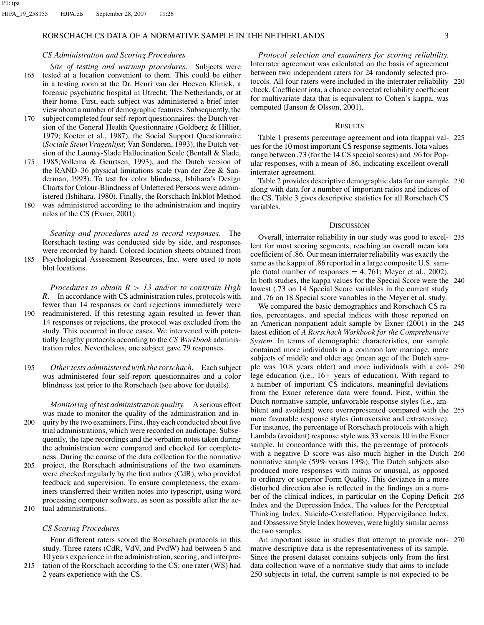### RORSCHACH CS DATA OF A NORMATIVE SAMPLE IN THE NETHERLANDS  $3$

#### *CS Administration and Scoring Procedures*

- *Site of testing and warmup procedures.* Subjects were 165 tested at a location convenient to them. This could be either in a testing room at the Dr. Henri van der Hoeven Kliniek, a forensic psychiatric hospital in Utrecht, The Netherlands, or at their home. First, each subject was administered a brief interview about a number of demographic features. Subsequently, the
- 170 subject completed four self-report questionnaires: the Dutch version of the General Health Questionnaire (Goldberg & Hillier, 1979; Koeter et al., 1987), the Social Support Questionnaire (*Sociale Steun Vragenlijst*; Van Sonderen, 1993), the Dutch version of the Launay-Slade Hallucination Scale (Bentall & Slade,
- 175 1985;Vollema & Geurtsen, 1993), and the Dutch version of the RAND–36 physical limitations scale (van der Zee & Sanderman, 1993). To test for color blindness, Ishihara's Design Charts for Colour-Blindness of Unlettered Persons were administered (Ishihara. 1980). Finally, the Rorschach Inkblot Method
- 180 was administered according to the administration and inquiry rules of the CS (Exner, 2001).

*Seating and procedures used to record responses.* The Rorschach testing was conducted side by side, and responses were recorded by hand. Colored location sheets obtained from 185 Psychological Assessment Resources, Inc. were used to note

- blot locations. *Procedures to obtain R > 13 and/or to constrain High*
- *R.* In accordance with CS administration rules, protocols with fewer than 14 responses or card rejections immediately were 190 readministered. If this retesting again resulted in fewer than 14 responses or rejections, the protocol was excluded from the study. This occurred in three cases. We intervened with potentially lengthy protocols according to the *CS Workbook* administration rules. Nevertheless, one subject gave 79 responses.
- 195 *Other tests administered with the rorschach.* Each subject was administered four self-report questionnaires and a color blindness test prior to the Rorschach (see above for details).

*Monitoring of test administration quality.* A serious effort was made to monitor the quality of the administration and in-200 quiry by the two examiners. First, they each conducted about five trial administrations, which were recorded on audiotape. Subsequently, the tape recordings and the verbatim notes taken during the administration were compared and checked for completeness. During the course of the data collection for the normative 205 project, the Rorschach administrations of the two examiners were checked regularly by the first author (CdR), who provided feedback and supervision. To ensure completeness, the examiners transferred their written notes into typescript, using word processing computer software, as soon as possible after the ac-210 tual administrations.

#### *CS Scoring Procedures*

Four different raters scored the Rorschach protocols in this study. Three raters (CdR, VdV, and PvdW) had between 5 and 10 years experience in the administration, scoring, and interpre-215 tation of the Rorschach according to the CS; one rater (WS) had

2 years experience with the CS.

*Protocol selection and examiners for scoring reliability.* Interrater agreement was calculated on the basis of agreement between two independent raters for 24 randomly selected protocols. All four raters were included in the interrater reliability 220 check. Coefficient iota, a chance corrected reliability coefficient for multivariate data that is equivalent to Cohen's kappa, was computed (Janson & Olsson, 2001).

#### **RESULTS**

Table 1 presents percentage agreement and iota (kappa) val- 225 ues for the 10 most important CS response segments. Iota values range between .73 (for the 14 CS special scores) and .96 for Popular responses, with a mean of .86, indicating excellent overall interrater agreement.

Table 2 provides descriptive demographic data for our sample 230 along with data for a number of important ratios and indices of the CS. Table 3 gives descriptive statistics for all Rorschach CS variables.

#### **DISCUSSION**

Overall, interrater reliability in our study was good to excel- 235 lent for most scoring segments, reaching an overall mean iota coefficient of .86. Our mean interrater reliability was exactly the same as the kappa of .86 reported in a large composite U.S. sample (total number of responses  $= 4, 761$ ; Meyer et al., 2002). In both studies, the kappa values for the Special Score were the 240 lowest (.73 on 14 Special Score variables in the current study and .76 on 18 Special score variables in the Meyer et al. study.

We compared the basic demographics and Rorschach CS ratios, percentages, and special indices with those reported on an American nonpatient adult sample by Exner (2001) in the 245 latest edition of *A Rorschach Workbook for the Comprehensive System*. In terms of demographic characteristics, our sample contained more individuals in a common law marriage, more subjects of middle and older age (mean age of the Dutch sample was 10.8 years older) and more individuals with a col- 250 lege education (i.e., 16+ years of education). With regard to a number of important CS indicators, meaningful deviations from the Exner reference data were found. First, within the Dutch normative sample, unfavorable response styles (i.e., ambitent and avoidant) were overrepresented compared with the 255 more favorable response styles (introversive and extratensive). For instance, the percentage of Rorschach protocols with a high Lambda (avoidant) response style was 33 versus 10 in the Exner sample. In concordance with this, the percentage of protocols with a negative D score was also much higher in the Dutch 260 normative sample (59% versus 13%). The Dutch subjects also produced more responses with minus or unusual, as opposed to ordinary or superior Form Quality. This deviance in a more disturbed direction also is reflected in the findings on a number of the clinical indices, in particular on the Coping Deficit 265 Index and the Depression Index. The values for the Perceptual Thinking Index, Suicide-Constellation, Hypervigilance Index, and Obssessive Style Index however, were highly similar across the two samples.

An important issue in studies that attempt to provide nor- 270 mative descriptive data is the representativeness of its sample. Since the present dataset contains subjects only from the first data collection wave of a normative study that aims to include 250 subjects in total, the current sample is not expected to be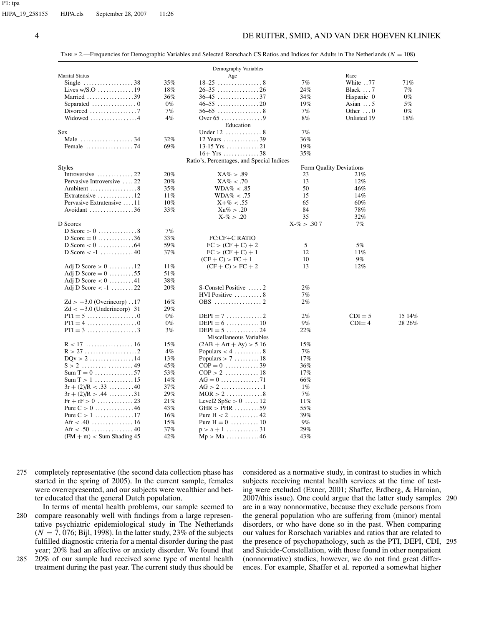#### 4 DE RUITER, SMID, AND VAN DER HOEVEN KLINIEK

TABLE 2.—Frequencies for Demographic Variables and Selected Rorschach CS Ratios and Indices for Adults in The Netherlands (*N* = 108)

|                                                                 |       | Demography Variables                        |                         |                  |        |
|-----------------------------------------------------------------|-------|---------------------------------------------|-------------------------|------------------|--------|
| <b>Marital Status</b>                                           |       | Age                                         |                         | Race             |        |
| Single $\ldots \ldots \ldots \ldots \ldots 38$                  | 35%   |                                             | 7%                      | White 77         | 71%    |
|                                                                 | 18%   |                                             | 24%                     | Black 7          | 7%     |
| Married 39                                                      | 36%   |                                             | 34%                     | Hispanic 0       | $0\%$  |
| Separated $\dots\dots\dots\dots\dots\dots$                      | $0\%$ |                                             | 19%                     | Asian $\dots$ 5  | 5%     |
|                                                                 | 7%    |                                             | 7%                      | Other $\ldots$ 0 | $0\%$  |
| Widowed 4                                                       | 4%    |                                             | 8%                      | Unlisted 19      | 18%    |
|                                                                 |       | Education                                   |                         |                  |        |
| Sex                                                             |       | Under $12$ 8                                | 7%                      |                  |        |
| Male $\dots\dots\dots\dots\dots\dots34$                         | 32%   | 12 Years 39                                 | 36%                     |                  |        |
|                                                                 | 69%   | $13-15$ Yrs 21                              | 19%                     |                  |        |
|                                                                 |       | $16 + Yrs$ 38                               | 35%                     |                  |        |
|                                                                 |       | Ratio's, Percentages, and Special Indices   |                         |                  |        |
|                                                                 |       |                                             |                         |                  |        |
| <b>Styles</b>                                                   | 20%   |                                             | Form Quality Deviations |                  |        |
| Introversive $\dots\dots\dots\dots 22$                          |       | $XA\% > .89$                                | 23                      | 21%              |        |
| Pervasive Introversive 22                                       | 20%   | $XA\% < .70$                                | 13                      | 12%              |        |
| Ambitent $\dots\dots\dots\dots\dots8$                           | 35%   | $WDA\% < .85$                               | 50                      | 46%              |        |
| Extratensive $\dots\dots\dots\dots 12$                          | 11%   | $WDA\% < .75$                               | 15                      | 14%              |        |
| Pervasive Extratensive 11                                       | 10%   | $X + \% < .55$                              | 65                      | 60%              |        |
| Avoidant $\dots\dots\dots\dots\dots36$                          | 33%   | $Xu\% > .20$                                | 84                      | 78%              |        |
|                                                                 |       | $X - \% > .20$                              | 35                      | 32%              |        |
| D Scores                                                        |       |                                             | $X-\% > .307$           | 7%               |        |
|                                                                 | 7%    |                                             |                         |                  |        |
| D Score = $0$ 36                                                | 33%   | FC:CF+C RATIO                               |                         |                  |        |
|                                                                 | 59%   | $FC > (CF + C) + 2$                         | 5                       | 5%               |        |
| D Score $\lt$ -1 40                                             | 37%   | $FC > (CF + C) + 1$                         | 12                      | 11%              |        |
|                                                                 |       | $(CF + C) > FC + 1$                         | 10                      | 9%               |        |
| Adj D Score $> 0$ 12                                            | 11%   | $(CF + C) > FC + 2$                         | 13                      | 12%              |        |
| Adj D Score = $0$ 55                                            | 51%   |                                             |                         |                  |        |
| Adj D Score $< 0$ 41                                            | 38%   |                                             |                         |                  |        |
| Adj D Score $\lt$ -1 22                                         | 20%   | S-Constel Positive 2                        | $2\%$                   |                  |        |
|                                                                 |       | HVI Positive $\ldots \ldots \ldots 8$       | 7%                      |                  |        |
| $Zd > +3.0$ (Overincorp)17                                      | 16%   |                                             | 2%                      |                  |        |
| $Zd < -3.0$ (Underincorp) 31                                    | 29%   |                                             |                         |                  |        |
| $PTI = 5 \dots \dots \dots \dots \dots \dots \dots \dots \dots$ | $0\%$ | $DEPI = 7 \ldots \ldots \ldots 2$           | 2%                      | $CDI = 5$        | 15 14% |
| $PTI = 4 \dots \dots \dots \dots \dots \dots \dots \dots \dots$ | $0\%$ | $DEPI = 6 \dots \dots \dots \dots \dots 10$ | 9%                      | $CDI = 4$        | 28 26% |
| $PTI = 3 \dots \dots \dots \dots \dots \dots 3$                 | 3%    | $DEPI = 5 \dots 24$                         | 22%                     |                  |        |
|                                                                 |       | Miscellaneous Variables                     |                         |                  |        |
|                                                                 | 15%   | $(2AB + Art + Ay) > 516$                    | 15%                     |                  |        |
|                                                                 | 4%    | Populars $< 4$ 8                            | 7%                      |                  |        |
| $DQv > 2$ 14                                                    | 13%   | Populars $> 7 \ldots \ldots \ldots 18$      | 17%                     |                  |        |
|                                                                 | 45%   | $COP = 0$ 39                                | 36%                     |                  |        |
| Sum $T = 0$ 57                                                  | 53%   | $COP > 2$ 18                                | 17%                     |                  |        |
| $Sum T > 1$ 15                                                  | 14%   |                                             | 66%                     |                  |        |
| $3r + (2)/R < .33$ 40                                           | 37%   | $AG > 2$ 1                                  | $1\%$                   |                  |        |
| $3r + (2)/R > .44$ 31                                           | 29%   | $MOR > 2$ 8                                 | 7%                      |                  |        |
|                                                                 | 21%   | Level2 $SpSc > 0$ 12                        | 11%                     |                  |        |
| Pure $C > 0$ 46                                                 | 43%   | $GHR > PHR$ 59                              | 55%                     |                  |        |
|                                                                 | 16%   | Pure $H < 2$ 42                             | 39%                     |                  |        |
| Pure $C > 1$ 17                                                 |       |                                             |                         |                  |        |
|                                                                 | 15%   | Pure $H = 0$ 10                             | 9%                      |                  |        |
|                                                                 | 37%   | $p > a + 1$ 31                              | 29%                     |                  |        |
| $(FM + m) <$ Sum Shading 45                                     | 42%   | $Mp > Ma$ 46                                | 43%                     |                  |        |
|                                                                 |       |                                             |                         |                  |        |

- 275 completely representative (the second data collection phase has started in the spring of 2005). In the current sample, females were overrepresented, and our subjects were wealthier and better educated that the general Dutch population.
- In terms of mental health problems, our sample seemed to 280 compare reasonably well with findings from a large representative psychiatric epidemiological study in The Netherlands  $(N = 7, 076;$  Bijl, 1998). In the latter study, 23% of the subjects fulfilled diagnostic criteria for a mental disorder during the past year; 20% had an affective or anxiety disorder. We found that
- 285 20% of our sample had received some type of mental health treatment during the past year. The current study thus should be

considered as a normative study, in contrast to studies in which subjects receiving mental health services at the time of testing were excluded (Exner, 2001; Shaffer, Erdberg, & Haroian, 2007/this issue). One could argue that the latter study samples 290 are in a way nonnormative, because they exclude persons from the general population who are suffering from (minor) mental disorders, or who have done so in the past. When comparing our values for Rorschach variables and ratios that are related to the presence of psychopathology, such as the PTI, DEPI, CDI, 295 and Suicide-Constellation, with those found in other nonpatient (nonnormative) studies, however, we do not find great differences. For example, Shaffer et al. reported a somewhat higher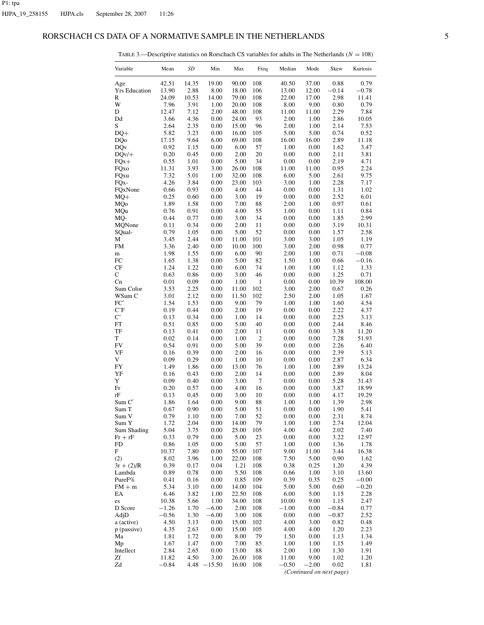## RORSCHACH CS DATA OF A NORMATIVE SAMPLE IN THE NETHERLANDS 5

| TABLE 3.—Descriptive statistics on Rorschach CS variables for adults in The Netherlands ( $N = 108$ ) |  |
|-------------------------------------------------------------------------------------------------------|--|
|-------------------------------------------------------------------------------------------------------|--|

| Variable             | Mean         | SD           | Min          | Max            | Freq           | Median       | Mode         | Skew         | Kurtosis      |
|----------------------|--------------|--------------|--------------|----------------|----------------|--------------|--------------|--------------|---------------|
| Age                  | 42.51        | 14.35        | 19.00        | 90.00          | 108            | 40.50        | 37.00        | 0.88         | 0.79          |
| <b>Yrs Education</b> | 13.90        | 2.88         | $8.00\,$     | 18.00          | 106            | 13.00        | 12.00        | $-0.14$      | $-0.78$       |
| R                    | 24.09        | 10.53        | 14.00        | 79.00          | 108            | 22.00        | 17.00        | 2.98         | 11.41         |
| W                    | 7.96         | 3.91         | 1.00         | 20.00          | 108            | 8.00         | 9.00         | 0.80         | 0.79          |
| D                    | 12.47        | 7.12         | 2.00         | 48.00          | 108            | 11.00        | 11.00        | 2.29         | 7.84          |
| Dd<br>S              | 3.66<br>2.64 | 4.36<br>2.35 | 0.00<br>0.00 | 24.00<br>15.00 | 93<br>96       | 2.00<br>2.00 | 1.00<br>1.00 | 2.86<br>2.14 | 10.05<br>7.53 |
| $DQ+$                | 5.82         | 3.23         | 0.00         | 16.00          | 105            | 5.00         | 5.00         | 0.74         | 0.52          |
| <b>DQo</b>           | 17.15        | 9.64         | 6.00         | 69.00          | 108            | 16.00        | 16.00        | 2.89         | 11.18         |
| <b>DQv</b>           | 0.92         | 1.15         | 0.00         | 6.00           | 57             | 1.00         | 0.00         | 1.62         | 3.47          |
| $DQv/+$              | 0.20         | 0.45         | 0.00         | 2.00           | 20             | 0.00         | 0.00         | 2.11         | 3.81          |
| $FQx +$              | 0.55         | 1.01         | 0.00         | 5.00           | 34             | 0.00         | 0.00         | 2.19         | 4.71          |
| FQxo                 | 11.31        | 3.93         | 3.00         | 26.00          | 108            | 11.00        | 11.00        | 0.95         | 2.24          |
| FQxu                 | 7.32         | 5.01         | 1.00         | 32.00          | 108            | 6.00         | 5.00         | 2.61         | 9.75          |
| FQ <sub>x</sub> -    | 4.26         | 3.84         | 0.00         | 23.00          | 103            | 3.00         | 1.00         | 2.28         | 7.17          |
| FQxNone              | 0.66         | 0.93         | 0.00         | 4.00           | 44             | 0.00         | 0.00         | 1.31         | 1.02          |
| $MQ+$                | 0.25         | 0.60         | 0.00         | 3.00           | 19             | 0.00         | 0.00         | 2.52         | 6.01          |
| MQo                  | 1.89         | 1.58         | 0.00         | 7.00           | 88             | 2.00         | 1.00         | 0.97         | 0.61          |
| MQu                  | 0.76         | 0.91         | 0.00         | 4.00           | 55             | 1.00         | 0.00         | 1.11         | 0.84          |
| MQ-                  | 0.44         | 0.77         | 0.00         | 3.00           | 34             | 0.00         | 0.00         | 1.85         | 2.99          |
| MQNone               | 0.11         | 0.34         | 0.00         | 2.00           | 11             | 0.00         | 0.00         | 3.19         | 10.31         |
| SQual-               | 0.79         | 1.05         | 0.00         | 5.00           | 52             | 0.00         | 0.00         | 1.57         | 2.58          |
| М                    | 3.45         | 2.44         | 0.00         | 11.00          | 101            | 3.00         | 3.00         | 1.05         | 1.19          |
| FM                   | 3.36         | 2.40         | 0.00         | 10.00          | 100            | 3.00         | 2.00         | 0.98         | 0.77          |
| m                    | 1.98         | 1.55         | 0.00         | 6.00           | 90             | 2.00         | 1.00         | 0.71         | $-0.08$       |
| FC                   | 1.65         | 1.38         | 0.00         | 5.00           | 82             | 1.50         | 1.00         | 0.66         | $-0.16$       |
| CF                   | 1.24         | 1.22         | 0.00         | 6.00           | 74             | 1.00         | 1.00         | 1.12         | 1.33          |
| С                    | 0.63         | 0.86         | 0.00         | 3.00           | 46             | 0.00         | 0.00         | 1.25         | 0.71          |
| Cn                   | 0.01         | 0.09         | 0.00         | 1.00           | $\mathbf{1}$   | 0.00         | 0.00         | 10.39        | 108.00        |
| Sum Color            | 3.53         | 2.25         | 0.00         | 11.00          | 102            | 3.00         | 2.00         | 0.67         | 0.26          |
| WSum C               | 3.01         | 2.12         | 0.00         | 11.50          | 102            | 2.50         | 2.00         | 1.05         | 1.67          |
| FC'                  | 1.54         | 1.53         | 0.00         | 9.00           | 79             | 1.00         | 1.00         | 1.60         | 4.54          |
| C'F                  | 0.19         | 0.44         | 0.00         | 2.00           | 19             | 0.00         | 0.00         | 2.22         | 4.37          |
| $\mathbf{C}^*$       | 0.13<br>0.51 | 0.34         | 0.00         | 1.00           | 14             | 0.00         | 0.00         | 2.25<br>2.44 | 3.13          |
| FT<br>TF             | 0.13         | 0.85<br>0.41 | 0.00<br>0.00 | 5.00<br>2.00   | 40<br>11       | 0.00<br>0.00 | 0.00<br>0.00 | 3.38         | 8.46<br>11.20 |
| T                    | 0.02         | 0.14         | 0.00         | 1.00           | $\overline{2}$ | 0.00         | 0.00         | 7.28         | 51.93         |
| <b>FV</b>            | 0.54         | 0.91         | 0.00         | 5.00           | 39             | 0.00         | 0.00         | 2.26         | 6.40          |
| VF                   | 0.16         | 0.39         | 0.00         | 2.00           | 16             | 0.00         | 0.00         | 2.39         | 5.13          |
| V                    | 0.09         | 0.29         | 0.00         | 1.00           | 10             | 0.00         | 0.00         | 2.87         | 6.34          |
| <b>FY</b>            | 1.49         | 1.86         | 0.00         | 13.00          | 76             | 1.00         | 1.00         | 2.89         | 13.24         |
| YF                   | 0.16         | 0.43         | 0.00         | 2.00           | 14             | 0.00         | 0.00         | 2.89         | 8.04          |
| Y                    | 0.09         | 0.40         | 0.00         | 3.00           | $\tau$         | 0.00         | 0.00         | 5.28         | 31.43         |
| Fr                   | 0.20         | 0.57         | 0.00         | 4.00           | 16             | 0.00         | 0.00         | 3.87         | 18.99         |
| rF                   | 0.13         | 0.45         | 0.00         | 3.00           | 10             | 0.00         | 0.00         | 4.17         | 19.29         |
| Sum C'               | 1.86         | 1.64         | 0.00         | 9.00           | 88             | 1.00         | 1.00         | 1.39         | 2.98          |
| Sum T                | 0.67         | 0.90         | 0.00         | 5.00           | 51             | 0.00         | 0.00         | 1.90         | 5.41          |
| Sum V                | 0.79         | 1.10         | 0.00         | 7.00           | 52             | 0.00         | 0.00         | 2.31         | 8.74          |
| Sum Y                | 1.72         | 2.04         | 0.00         | 14.00          | 79             | 1.00         | 1.00         | 2.74         | 12.04         |
| Sum Shading          | 5.04         | 3.75         | 0.00         | 25.00          | 105            | 4.00         | 4.00         | 2.02         | 7.40          |
| $Fr + rF$            | 0.33         | 0.79         | 0.00         | 5.00           | 23             | 0.00         | 0.00         | 3.22         | 12.97         |
| FD                   | 0.86         | 1.05         | 0.00         | 5.00           | 57             | 1.00         | 0.00         | 1.36         | 1.78          |
| F                    | 10.37        | 7.80         | 0.00         | 55.00          | 107            | 9.00         | 11.00        | 3.44         | 16.38         |
| (2)                  | 8.02         | 3.96         | 1.00         | 22.00          | 108            | 7.50         | 5.00         | 0.90         | 1.62          |
| $3r + (2)/R$         | 0.39         | 0.17         | 0.04         | 1.21           | 108            | 0.38         | 0.25         | 1.20         | 4.39          |
| Lambda               | 0.89         | 0.78         | 0.00         | 5.50           | 108            | 0.66         | 1.00         | 3.10         | 13.60         |
| PureF%               | 0.41         | 0.16         | 0.00         | 0.85           | 109            | 0.39         | 0.35         | 0.25         | $-0.00$       |
| $FM + m$             | 5.34         | 3.10         | 0.00         | 14.00          | 104            | 5.00         | 5.00         | 0.60         | $-0.20$       |
| EA                   | 6.46         | 3.82         | 1.00         | 22.50          | 108            | 6.00         | 5.00         | 1.15         | 2.28          |
| es                   | 10.38        | 5.66         | 1.00         | 34.00          | 108            | 10.00        | 9.00         | 1.15         | 2.47          |
| D Score              | $-1.26$      | 1.70         | $-6.00$      | 2.00           | 108            | $-1.00$      | 0.00         | $-0.84$      | 0.77          |
| AdjD                 | $-0.56$      | 1.30         | $-6.00$      | 3.00           | 108            | 0.00         | 0.00         | $-0.87$      | 2.52          |
| a (active)           | 4.50         | 3.13         | 0.00         | 15.00          | 102            | 4.00         | 3.00         | 0.82         | 0.48          |
| p (passive)          | 4.35         | 2.63         | 0.00         | 15.00          | 105            | 4.00         | 4.00         | 1.20         | 2.23          |
| Ma                   | 1.81         | 1.72         | 0.00         | 8.00           | 79             | 1.50         | 0.00         | 1.13         | 1.34          |
| Mp                   | 1.67         | 1.47         | 0.00         | 7.00           | 85             | 1.00         | 1.00         | 1.15         | 1.49          |
| Intellect            | 2.84         | 2.65         | 0.00         | 13.00          | 88             | 2.00         | 1.00         | 1.30         | 1.91          |
| Zf<br>Zd             | 11.82        | 4.50         | 3.00         | 26.00          | 108            | 11.00        | 9.00         | 1.02         | 1.20          |
|                      | $-0.84$      | 4.48         | $-15.50$     | 16.00          | 108            | $-0.50$      | $-2.00$      | 0.02         | 1.81          |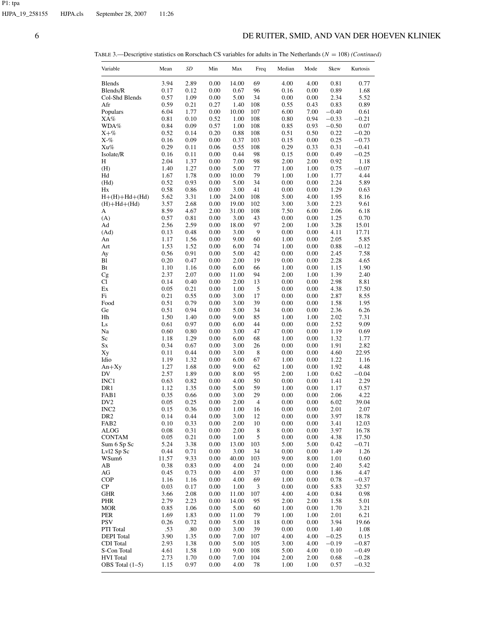# 6 DE RUITER, SMID, AND VAN DER HOEVEN KLINIEK

TABLE 3.—Descriptive statistics on Rorschach CS variables for adults in The Netherlands (*N* = 108) *(Continued)*

| Variable                     | Mean         | SD           | Min          | Max           | Freq       | Median       | Mode         | Skew            | Kurtosis        |
|------------------------------|--------------|--------------|--------------|---------------|------------|--------------|--------------|-----------------|-----------------|
| <b>Blends</b>                | 3.94         | 2.89         | 0.00         | 14.00         | 69         | 4.00         | 4.00         | 0.81            | 0.77            |
| Blends/R                     | 0.17         | 0.12         | 0.00         | 0.67          | 96         | 0.16         | 0.00         | 0.89            | 1.68            |
| Col-Shd Blends               | 0.57         | 1.09         | 0.00         | 5.00          | 34         | 0.00         | 0.00         | 2.34            | 5.52            |
| Afr                          | 0.59<br>6.04 | 0.21<br>1.77 | 0.27         | 1.40          | 108<br>107 | 0.55         | 0.43<br>7.00 | 0.83<br>$-0.40$ | 0.89            |
| Populars<br>XA%              | 0.81         | 0.10         | 0.00<br>0.52 | 10.00<br>1.00 | 108        | 6.00<br>0.80 | 0.94         | $-0.33$         | 0.61<br>$-0.21$ |
| WDA%                         | 0.84         | 0.09         | 0.57         | 1.00          | 108        | 0.85         | 0.93         | $-0.50$         | 0.07            |
| $X + \%$                     | 0.52         | 0.14         | 0.20         | 0.88          | 108        | 0.51         | 0.50         | 0.22            | $-0.20$         |
| X-%                          | 0.16         | 0.09         | 0.00         | 0.37          | 103        | 0.15         | 0.00         | 0.25            | $-0.73$         |
| Xu%                          | 0.29         | 0.11         | 0.06         | 0.55          | 108        | 0.29         | 0.33         | 0.31            | $-0.41$         |
| Isolate/R                    | 0.16         | 0.11         | 0.00         | 0.44          | 98         | 0.15         | 0.00         | 0.49            | $-0.25$         |
| Н                            | 2.04         | 1.37         | 0.00         | 7.00          | 98         | 2.00         | 2.00         | 0.92            | 1.18            |
| (H)                          | 1.40         | 1.27         | 0.00         | 5.00          | 77<br>79   | 1.00         | 1.00         | 0.75            | $-0.07$<br>4.44 |
| Hd<br>(Hd)                   | 1.67<br>0.52 | 1.78<br>0.93 | 0.00<br>0.00 | 10.00<br>5.00 | 34         | 1.00<br>0.00 | 1.00<br>0.00 | 1.77<br>2.24    | 5.89            |
| Hx                           | 0.58         | 0.86         | 0.00         | 3.00          | 41         | 0.00         | 0.00         | 1.29            | 0.63            |
| $H+(H)+Hd+(Hd)$              | 5.62         | 3.31         | 1.00         | 24.00         | 108        | 5.00         | 4.00         | 1.95            | 8.16            |
| $(H)+Hd+(Hd)$                | 3.57         | 2.68         | 0.00         | 19.00         | 102        | 3.00         | 3.00         | 2.23            | 9.61            |
| А                            | 8.59         | 4.67         | 2.00         | 31.00         | 108        | 7.50         | 6.00         | 2.06            | 6.18            |
| (A)                          | 0.57         | 0.81         | 0.00         | 3.00          | 43         | 0.00         | 0.00         | 1.25            | 0.70            |
| Ad                           | 2.56         | 2.59         | 0.00         | 18.00         | 97         | 2.00         | 1.00         | 3.28            | 15.01           |
| (Ad)                         | 0.13         | 0.48         | 0.00         | 3.00          | 9          | 0.00         | 0.00         | 4.11            | 17.71           |
| An                           | 1.17         | 1.56         | 0.00         | 9.00          | 60         | 1.00         | 0.00         | 2.05            | 5.85            |
| Art<br>Ay                    | 1.53<br>0.56 | 1.52<br>0.91 | 0.00<br>0.00 | 6.00<br>5.00  | 74<br>42   | 1.00<br>0.00 | 0.00<br>0.00 | 0.88<br>2.45    | $-0.12$<br>7.58 |
| Bl                           | 0.20         | 0.47         | 0.00         | 2.00          | 19         | 0.00         | 0.00         | 2.28            | 4.65            |
| Bt                           | 1.10         | 1.16         | 0.00         | 6.00          | 66         | 1.00         | 0.00         | 1.15            | 1.90            |
| Сg                           | 2.37         | 2.07         | 0.00         | 11.00         | 94         | 2.00         | 1.00         | 1.39            | 2.40            |
| Cl                           | 0.14         | 0.40         | 0.00         | 2.00          | 13         | 0.00         | 0.00         | 2.98            | 8.81            |
| Ex                           | 0.05         | 0.21         | 0.00         | 1.00          | 5          | 0.00         | 0.00         | 4.38            | 17.50           |
| Fi                           | 0.21         | 0.55         | 0.00         | 3.00          | 17         | 0.00         | 0.00         | 2.87            | 8.55            |
| Food                         | 0.51         | 0.79         | 0.00         | 3.00          | 39         | 0.00         | 0.00         | 1.58            | 1.95            |
| Ge                           | 0.51<br>1.50 | 0.94<br>1.40 | 0.00         | 5.00          | 34         | 0.00         | 0.00         | 2.36<br>2.02    | 6.26<br>7.31    |
| Hh<br>Ls                     | 0.61         | 0.97         | 0.00<br>0.00 | 9.00<br>6.00  | 85<br>44   | 1.00<br>0.00 | 1.00<br>0.00 | 2.52            | 9.09            |
| Na                           | 0.60         | 0.80         | 0.00         | 3.00          | 47         | 0.00         | 0.00         | 1.19            | 0.69            |
| Sc                           | 1.18         | 1.29         | 0.00         | 6.00          | 68         | 1.00         | 0.00         | 1.32            | 1.77            |
| Sx                           | 0.34         | 0.67         | 0.00         | 3.00          | 26         | 0.00         | 0.00         | 1.91            | 2.82            |
| Xy                           | 0.11         | 0.44         | 0.00         | 3.00          | 8          | 0.00         | 0.00         | 4.60            | 22.95           |
| Idio                         | 1.19         | 1.32         | 0.00         | 6.00          | 67         | 1.00         | 0.00         | 1.22            | 1.16            |
| $An+Xy$                      | 1.27         | 1.68         | 0.00         | 9.00          | 62         | 1.00         | 0.00         | 1.92            | 4.48            |
| DV<br>INC1                   | 2.57<br>0.63 | 1.89<br>0.82 | 0.00<br>0.00 | 8.00<br>4.00  | 95<br>50   | 2.00<br>0.00 | 1.00<br>0.00 | 0.62<br>1.41    | $-0.04$<br>2.29 |
| DR1                          | 1.12         | 1.35         | 0.00         | 5.00          | 59         | 1.00         | 0.00         | 1.17            | 0.57            |
| FAB1                         | 0.35         | 0.66         | 0.00         | 3.00          | 29         | 0.00         | 0.00         | 2.06            | 4.22            |
| DV <sub>2</sub>              | 0.05         | 0.25         | 0.00         | 2.00          | 4          | 0.00         | 0.00         | 6.02            | 39.04           |
| INC <sub>2</sub>             | 0.15         | 0.36         | 0.00         | 1.00          | 16         | 0.00         | 0.00         | 2.01            | 2.07            |
| DR <sub>2</sub>              | 0.14         | 0.44         | 0.00         | 3.00          | 12         | 0.00         | 0.00         | 3.97            | 18.78           |
| FAB <sub>2</sub>             | 0.10         | 0.33         | 0.00         | 2.00          | 10         | 0.00         | 0.00         | 3.41            | 12.03           |
| ALOG                         | 0.08         | 0.31         | 0.00         | 2.00          | 8          | 0.00         | 0.00         | 3.97            | 16.78           |
| <b>CONTAM</b><br>Sum 6 Sp Sc | 0.05         | 0.21         | 0.00         | 1.00          | 5          | 0.00         | 0.00         | 4.38            | 17.50           |
| Lvl2 Sp Sc                   | 5.24<br>0.44 | 3.38<br>0.71 | 0.00<br>0.00 | 13.00<br>3.00 | 103<br>34  | 5.00<br>0.00 | 5.00<br>0.00 | 0.42<br>1.49    | $-0.71$<br>1.26 |
| WSum6                        | 11.57        | 9.33         | 0.00         | 40.00         | 103        | 9.00         | 8.00         | 1.01            | 0.60            |
| АB                           | 0.38         | 0.83         | 0.00         | 4.00          | 24         | 0.00         | 0.00         | 2.40            | 5.42            |
| AG                           | 0.45         | 0.73         | 0.00         | 4.00          | 37         | 0.00         | 0.00         | 1.86            | 4.47            |
| <b>COP</b>                   | 1.16         | 1.16         | 0.00         | 4.00          | 69         | 1.00         | 0.00         | 0.78            | $-0.37$         |
| СP                           | 0.03         | 0.17         | 0.00         | 1.00          | 3          | 0.00         | 0.00         | 5.83            | 32.57           |
| GHR                          | 3.66         | 2.08         | 0.00         | 11.00         | 107        | 4.00         | 4.00         | 0.84            | 0.98            |
| PHR                          | 2.79         | 2.23         | 0.00         | 14.00         | 95         | 2.00         | 2.00         | 1.58            | 5.01            |
| MOR<br>PER                   | 0.85<br>1.69 | 1.06<br>1.83 | 0.00<br>0.00 | 5.00<br>11.00 | 60<br>79   | 1.00<br>1.00 | 0.00<br>1.00 | 1.70<br>2.01    | 3.21<br>6.21    |
| PSV                          | 0.26         | 0.72         | 0.00         | 5.00          | 18         | 0.00         | 0.00         | 3.94            | 19.66           |
| PTI Total                    | .53          | .80          | 0.00         | 3.00          | 39         | 0.00         | 0.00         | 1.40            | 1.08            |
| <b>DEPI</b> Total            | 3.90         | 1.35         | 0.00         | 7.00          | 107        | 4.00         | 4.00         | $-0.25$         | 0.15            |
| CDI Total                    | 2.93         | 1.38         | 0.00         | 5.00          | 105        | 3.00         | 4.00         | $-0.19$         | $-0.87$         |
| S-Con Total                  | 4.61         | 1.58         | 1.00         | 9.00          | 108        | 5.00         | 4.00         | 0.10            | $-0.49$         |
| <b>HVI</b> Total             | 2.73         | 1.70         | 0.00         | 7.00          | 104        | 2.00         | 2.00         | 0.68            | $-0.28$         |
| OBS Total (1–5)              | 1.15         | 0.97         | $0.00\,$     | 4.00          | 78         | $1.00\,$     | 1.00         | 0.57            | $-0.32$         |